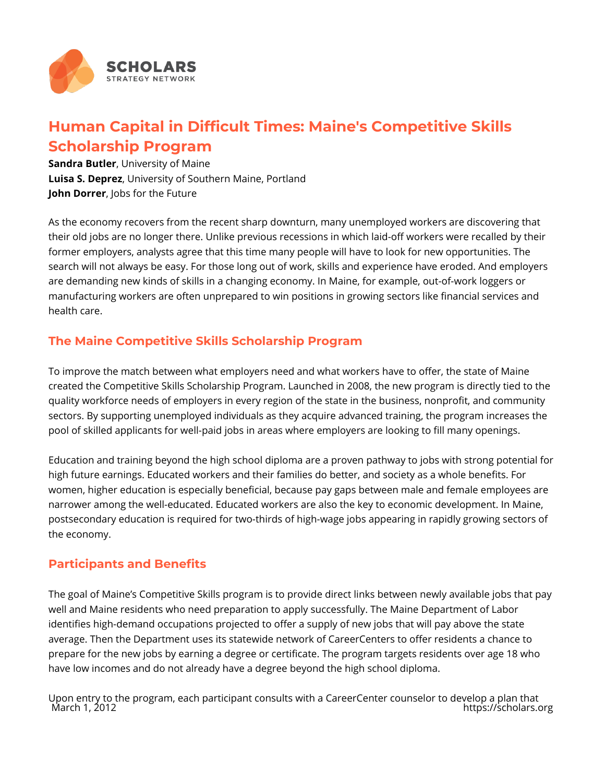

# **Human Capital in Difficult Times: Maine's Competitive Skills Scholarship Program**

**Sandra Butler**, University of Maine **Luisa S. Deprez**, University of Southern Maine, Portland **John Dorrer**, Jobs for the Future

As the economy recovers from the recent sharp downturn, many unemployed workers are discovering that their old jobs are no longer there. Unlike previous recessions in which laid-off workers were recalled by their former employers, analysts agree that this time many people will have to look for new opportunities. The search will not always be easy. For those long out of work, skills and experience have eroded. And employers are demanding new kinds of skills in a changing economy. In Maine, for example, out-of-work loggers or manufacturing workers are often unprepared to win positions in growing sectors like financial services and health care.

## **The Maine Competitive Skills Scholarship Program**

To improve the match between what employers need and what workers have to offer, the state of Maine created the Competitive Skills Scholarship Program. Launched in 2008, the new program is directly tied to the quality workforce needs of employers in every region of the state in the business, nonprofit, and community sectors. By supporting unemployed individuals as they acquire advanced training, the program increases the pool of skilled applicants for well-paid jobs in areas where employers are looking to fill many openings.

Education and training beyond the high school diploma are a proven pathway to jobs with strong potential for high future earnings. Educated workers and their families do better, and society as a whole benefits. For women, higher education is especially beneficial, because pay gaps between male and female employees are narrower among the well-educated. Educated workers are also the key to economic development. In Maine, postsecondary education is required for two-thirds of high-wage jobs appearing in rapidly growing sectors of the economy.

## **Participants and Benefits**

The goal of Maine's Competitive Skills program is to provide direct links between newly available jobs that pay well and Maine residents who need preparation to apply successfully. The Maine Department of Labor identifies high-demand occupations projected to offer a supply of new jobs that will pay above the state average. Then the Department uses its statewide network of CareerCenters to offer residents a chance to prepare for the new jobs by earning a degree or certificate. The program targets residents over age 18 who have low incomes and do not already have a degree beyond the high school diploma.

Upon entry to the program, each participant consults with a CareerCenter counselor to develop a plan that https://scholars.org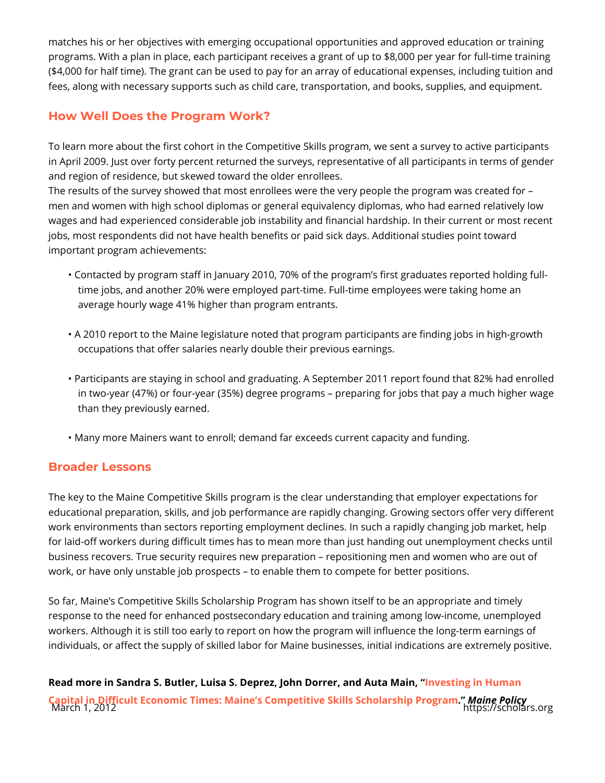matches his or her objectives with emerging occupational opportunities and ap programs. With a plan in place, each participant receives a grant of up to \$8,0  $($ \$4,000 for half time). The grant can be used to pay for an array of educational fees, along with necessary supports such as child care, transportation, and bo

#### How Well Does the Program Work?

To learn more about the first cohort in the Competitive Skills program, we sent in April 2009. Just over forty percent returned the surveys, representative of a and region of residence, but skewed toward the older enrollees. The results of the survey showed that most enrollees were the very people the men and women with high school diplomas or general equivalency diplomas, wh wages and had experienced considerable job instability and financial hardship. jobs, most respondents did not have health benefits or paid sick days. Addition important program achievements:

- " Contacted by program staff in January 2010, 70% of the program s first gra time jobs, and another 20% were employed part-time. Full-time employees average hourly wage 41% higher than program entrants.
- "A 2010 report to the Maine legislature noted that program participants are occupations that offer salaries nearly double their previous earnings.
- "Participants are staying in school and graduating. A September 2011 repor in two-year (47%) or four-year (35%) degree programs preparing for jobs than they previously earned.

"Many more Mainers want to enroll; demand far exceeds current capacity an

#### Broader Lessons

The key to the Maine Competitive Skills program is the clear understanding tha educational preparation, skills, and job performance are rapidly changing. Gro work environments than sectors reporting employment declines. In such a rapid for laid-off workers during difficult times has to mean more than just handing o business recovers. True security requires new preparation repositioning men work, or have only unstable job prospects to enable them to compete for bett

So far, Maine s Competitive Skills Scholarship Program has shown itself to be response to the need for enhanced postsecondary education and training amon workers. Although it is still too early to report on how the program will influen individuals, or affect the supply of skilled labor for Maine businesses, initial i

Read more in Sandra S. Butler, Luisa S. Deprez, John rDvoersrtein,gaimd HAuntan Main, [Capital in Difficult Economic Times: Maine s Competitive S](http://digitalcommons.library.umaine.edu/cgi/viewcontent.cgi?article=1071&context=mpr)kMlasn&cPholicc nship Pro<br>March 1, 2012